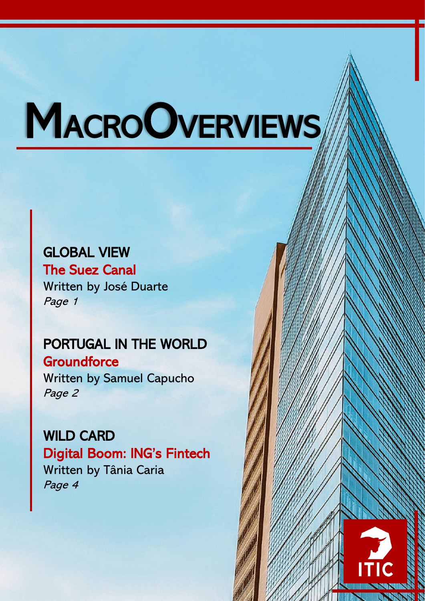# **MACROOVERVIEWS**

## GLOBAL VIEW

The Suez Canal Written by José Duarte Page 1

# PORTUGAL IN THE WORLD

**Groundforce** Written by Samuel Capucho Page 2

WILD CARD Digital Boom: ING's Fintech Written by Tânia Caria Page 4

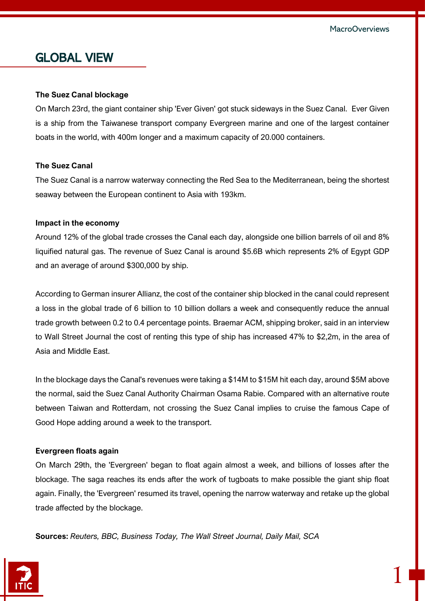## GLOBAL VIEW

#### **The Suez Canal blockage**

On March 23rd, the giant container ship 'Ever Given' got stuck sideways in the Suez Canal. Ever Given is a ship from the Taiwanese transport company Evergreen marine and one of the largest container boats in the world, with 400m longer and a maximum capacity of 20.000 containers.

#### **The Suez Canal**

The Suez Canal is a narrow waterway connecting the Red Sea to the Mediterranean, being the shortest seaway between the European continent to Asia with 193km.

#### **Impact in the economy**

Around 12% of the global trade crosses the Canal each day, alongside one billion barrels of oil and 8% liquified natural gas. The revenue of Suez Canal is around \$5.6B which represents 2% of Egypt GDP and an average of around \$300,000 by ship.

According to German insurer Allianz, the cost of the container ship blocked in the canal could represent a loss in the global trade of 6 billion to 10 billion dollars a week and consequently reduce the annual trade growth between 0.2 to 0.4 percentage points. Braemar ACM, shipping broker, said in an interview to Wall Street Journal the cost of renting this type of ship has increased 47% to \$2,2m, in the area of Asia and Middle East.

In the blockage days the Canal's revenues were taking a \$14M to \$15M hit each day, around \$5M above the normal, said the Suez Canal Authority Chairman Osama Rabie. Compared with an alternative route between Taiwan and Rotterdam, not crossing the Suez Canal implies to cruise the famous Cape of Good Hope adding around a week to the transport.

#### **Evergreen floats again**

On March 29th, the 'Evergreen' began to float again almost a week, and billions of losses after the blockage. The saga reaches its ends after the work of tugboats to make possible the giant ship float again. Finally, the 'Evergreen' resumed its travel, opening the narrow waterway and retake up the global trade affected by the blockage.

**Sources:** *Reuters, BBC, Business Today, The Wall Street Journal, Daily Mail, SCA*

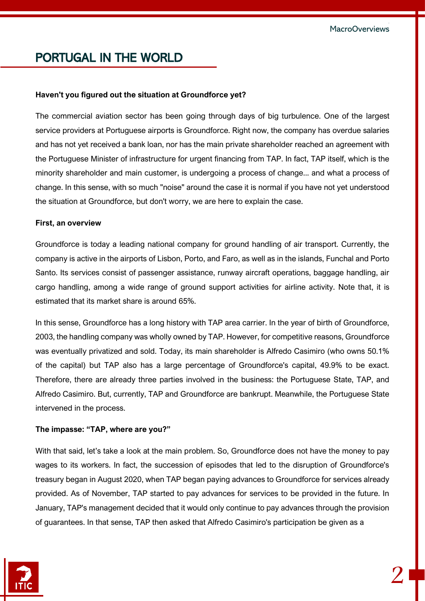## PORTUGAL IN THE WORLD

#### **Haven't you figured out the situation at Groundforce yet?**

The commercial aviation sector has been going through days of big turbulence. One of the largest service providers at Portuguese airports is Groundforce. Right now, the company has overdue salaries and has not yet received a bank loan, nor has the main private shareholder reached an agreement with the Portuguese Minister of infrastructure for urgent financing from TAP. In fact, TAP itself, which is the minority shareholder and main customer, is undergoing a process of change... and what a process of change. In this sense, with so much "noise" around the case it is normal if you have not yet understood the situation at Groundforce, but don't worry, we are here to explain the case.

#### **First, an overview**

Groundforce is today a leading national company for ground handling of air transport. Currently, the company is active in the airports of Lisbon, Porto, and Faro, as well as in the islands, Funchal and Porto Santo. Its services consist of passenger assistance, runway aircraft operations, baggage handling, air cargo handling, among a wide range of ground support activities for airline activity. Note that, it is estimated that its market share is around 65%.

In this sense, Groundforce has a long history with TAP area carrier. In the year of birth of Groundforce, 2003, the handling company was wholly owned by TAP. However, for competitive reasons, Groundforce was eventually privatized and sold. Today, its main shareholder is Alfredo Casimiro (who owns 50.1% of the capital) but TAP also has a large percentage of Groundforce's capital, 49.9% to be exact. Therefore, there are already three parties involved in the business: the Portuguese State, TAP, and Alfredo Casimiro. But, currently, TAP and Groundforce are bankrupt. Meanwhile, the Portuguese State intervened in the process.

#### **The impasse: "TAP, where are you?"**

With that said, let's take a look at the main problem. So, Groundforce does not have the money to pay wages to its workers. In fact, the succession of episodes that led to the disruption of Groundforce's treasury began in August 2020, when TAP began paying advances to Groundforce for services already provided. As of November, TAP started to pay advances for services to be provided in the future. In January, TAP's management decided that it would only continue to pay advances through the provision of guarantees. In that sense, TAP then asked that Alfredo Casimiro's participation be given as a

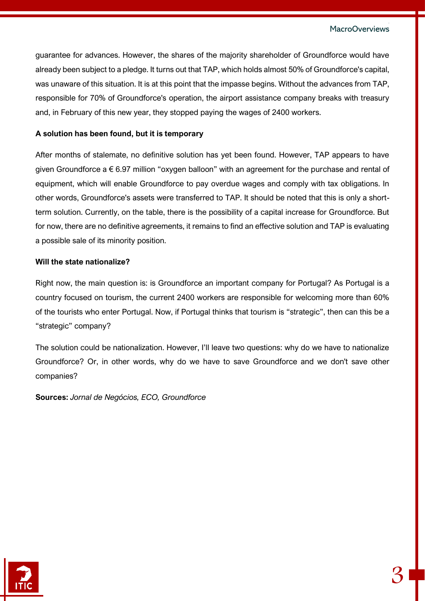guarantee for advances. However, the shares of the majority shareholder of Groundforce would have already been subject to a pledge. It turns out that TAP, which holds almost 50% of Groundforce's capital, was unaware of this situation. It is at this point that the impasse begins. Without the advances from TAP, responsible for 70% of Groundforce's operation, the airport assistance company breaks with treasury and, in February of this new year, they stopped paying the wages of 2400 workers.

#### **A solution has been found, but it is temporary**

After months of stalemate, no definitive solution has yet been found. However, TAP appears to have given Groundforce a € 6.97 million "oxygen balloon" with an agreement for the purchase and rental of equipment, which will enable Groundforce to pay overdue wages and comply with tax obligations. In other words, Groundforce's assets were transferred to TAP. It should be noted that this is only a shortterm solution. Currently, on the table, there is the possibility of a capital increase for Groundforce. But for now, there are no definitive agreements, it remains to find an effective solution and TAP is evaluating a possible sale of its minority position.

#### **Will the state nationalize?**

Right now, the main question is: is Groundforce an important company for Portugal? As Portugal is a country focused on tourism, the current 2400 workers are responsible for welcoming more than 60% of the tourists who enter Portugal. Now, if Portugal thinks that tourism is "strategic", then can this be a "strategic" company?

The solution could be nationalization. However, I'll leave two questions: why do we have to nationalize Groundforce? Or, in other words, why do we have to save Groundforce and we don't save other companies?

**Sources:** *Jornal de Negócios, ECO, Groundforce*



3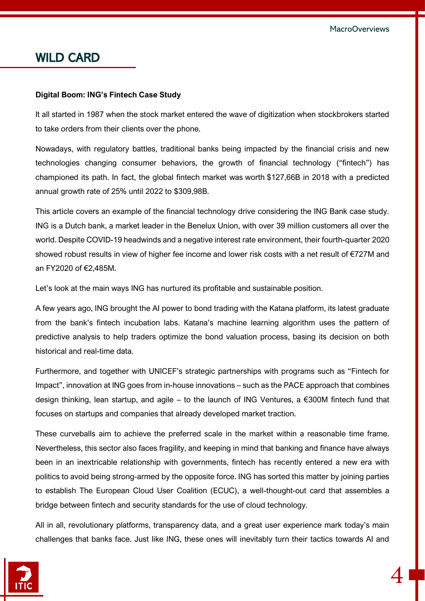### WILD CARD

#### **Digital Boom: ING's Fintech Case Study**

It all started in 1987 when the stock market entered the wave of digitization when stockbrokers started to take orders from their clients over the phone.

Nowadays, with regulatory battles, traditional banks being impacted by the financial crisis and new technologies changing consumer behaviors, the growth of financial technology ("fintech") has championed its path. In fact, the global fintech market was [worth](https://www.prnewswire.com/news-releases/global-fintech-market-value-is-expected-to-reach-309-98-billion-at-a-cagr-of-24-8-through-2022--300926069.html) \$127,66B in 2018 with a predicted annual growth rate of 25% until 2022 to \$309,98B.

This article covers an example of the financial technology drive considering the ING Bank case study. ING is a Dutch bank, a market leader in the Benelux Union, with over 39 million customers all over the world. Despite COVID-19 headwinds and a negative interest rate environment, their fourth-quarter 2020 showed robust results in view of higher fee income and lower risk costs with a net result of €727M and an FY2020 of €2,485M.

Let's look at the main ways ING has nurtured its profitable and sustainable position.

A few years ago, ING brought the AI power to bond trading with the Katana platform, its latest graduate from the bank's fintech incubation labs. Katana's machine learning algorithm uses the pattern of predictive analysis to help traders optimize the bond valuation process, basing its decision on both historical and real-time data.

Furthermore, and together with UNICEF's strategic partnerships with programs such as "Fintech for Impact", innovation at ING goes from in-house innovations – such as the PACE approach that combines design thinking, lean startup, and agile – to the launch of ING Ventures, a €300M fintech fund that focuses on startups and companies that already developed market traction.

These curveballs aim to achieve the preferred scale in the market within a reasonable time frame. Nevertheless, this sector also faces fragility, and keeping in mind that banking and finance have always been in an inextricable relationship with governments, fintech has recently entered a new era with politics to avoid being strong-armed by the opposite force. ING has sorted this matter by joining parties to establish The European Cloud User Coalition (ECUC), a well-thought-out card that assembles a bridge between fintech and security standards for the use of cloud technology.

All in all, revolutionary platforms, transparency data, and a great user experience mark today's main challenges that banks face. Just like ING, these ones will inevitably turn their tactics towards AI and